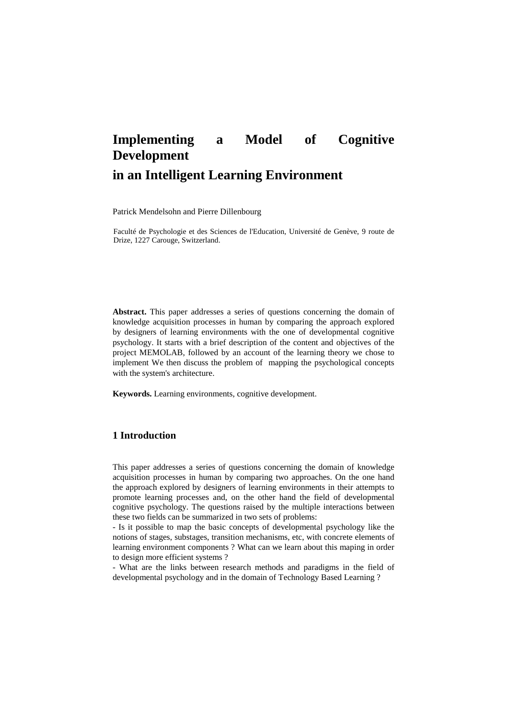# **Implementing a Model of Cognitive Development in an Intelligent Learning Environment**

Patrick Mendelsohn and Pierre Dillenbourg

Faculté de Psychologie et des Sciences de l'Education, Université de Genève, 9 route de Drize, 1227 Carouge, Switzerland.

**Abstract.** This paper addresses a series of questions concerning the domain of knowledge acquisition processes in human by comparing the approach explored by designers of learning environments with the one of developmental cognitive psychology. It starts with a brief description of the content and objectives of the project MEMOLAB, followed by an account of the learning theory we chose to implement We then discuss the problem of mapping the psychological concepts with the system's architecture.

**Keywords.** Learning environments, cognitive development.

## **1 Introduction**

This paper addresses a series of questions concerning the domain of knowledge acquisition processes in human by comparing two approaches. On the one hand the approach explored by designers of learning environments in their attempts to promote learning processes and, on the other hand the field of developmental cognitive psychology. The questions raised by the multiple interactions between these two fields can be summarized in two sets of problems:

- Is it possible to map the basic concepts of developmental psychology like the notions of stages, substages, transition mechanisms, etc, with concrete elements of learning environment components ? What can we learn about this maping in order to design more efficient systems ?

- What are the links between research methods and paradigms in the field of developmental psychology and in the domain of Technology Based Learning ?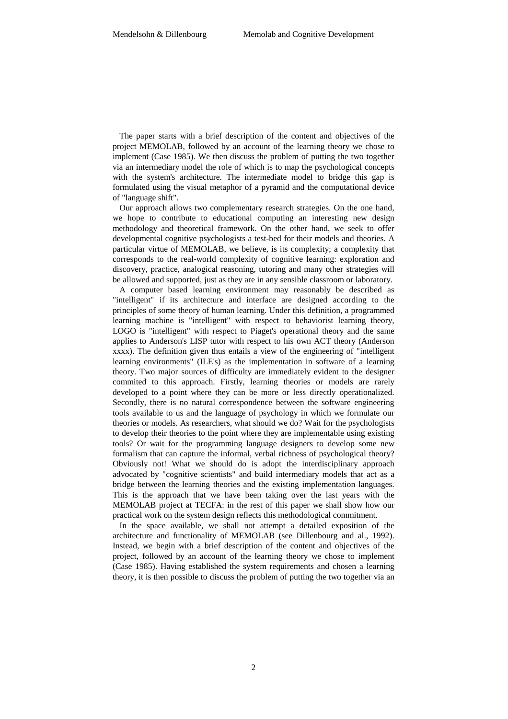The paper starts with a brief description of the content and objectives of the project MEMOLAB, followed by an account of the learning theory we chose to implement (Case 1985). We then discuss the problem of putting the two together via an intermediary model the role of which is to map the psychological concepts with the system's architecture. The intermediate model to bridge this gap is formulated using the visual metaphor of a pyramid and the computational device of "language shift".

Our approach allows two complementary research strategies. On the one hand, we hope to contribute to educational computing an interesting new design methodology and theoretical framework. On the other hand, we seek to offer developmental cognitive psychologists a test-bed for their models and theories. A particular virtue of MEMOLAB, we believe, is its complexity; a complexity that corresponds to the real-world complexity of cognitive learning: exploration and discovery, practice, analogical reasoning, tutoring and many other strategies will be allowed and supported, just as they are in any sensible classroom or laboratory.

A computer based learning environment may reasonably be described as "intelligent" if its architecture and interface are designed according to the principles of some theory of human learning. Under this definition, a programmed learning machine is "intelligent" with respect to behaviorist learning theory, LOGO is "intelligent" with respect to Piaget's operational theory and the same applies to Anderson's LISP tutor with respect to his own ACT theory (Anderson xxxx). The definition given thus entails a view of the engineering of "intelligent learning environments" (ILE's) as the implementation in software of a learning theory. Two major sources of difficulty are immediately evident to the designer commited to this approach. Firstly, learning theories or models are rarely developed to a point where they can be more or less directly operationalized. Secondly, there is no natural correspondence between the software engineering tools available to us and the language of psychology in which we formulate our theories or models. As researchers, what should we do? Wait for the psychologists to develop their theories to the point where they are implementable using existing tools? Or wait for the programming language designers to develop some new formalism that can capture the informal, verbal richness of psychological theory? Obviously not! What we should do is adopt the interdisciplinary approach advocated by "cognitive scientists" and build intermediary models that act as a bridge between the learning theories and the existing implementation languages. This is the approach that we have been taking over the last years with the MEMOLAB project at TECFA: in the rest of this paper we shall show how our practical work on the system design reflects this methodological commitment.

In the space available, we shall not attempt a detailed exposition of the architecture and functionality of MEMOLAB (see Dillenbourg and al., 1992). Instead, we begin with a brief description of the content and objectives of the project, followed by an account of the learning theory we chose to implement (Case 1985). Having established the system requirements and chosen a learning theory, it is then possible to discuss the problem of putting the two together via an

2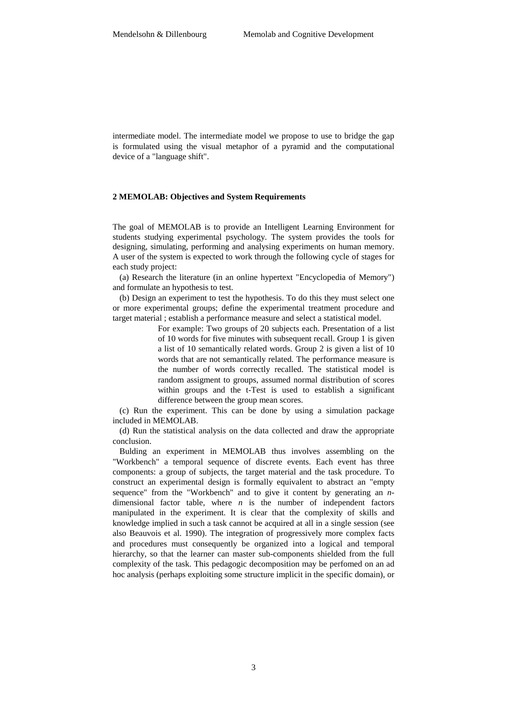intermediate model. The intermediate model we propose to use to bridge the gap is formulated using the visual metaphor of a pyramid and the computational device of a "language shift".

#### **2 MEMOLAB: Objectives and System Requirements**

The goal of MEMOLAB is to provide an Intelligent Learning Environment for students studying experimental psychology. The system provides the tools for designing, simulating, performing and analysing experiments on human memory. A user of the system is expected to work through the following cycle of stages for each study project:

(a) Research the literature (in an online hypertext "Encyclopedia of Memory") and formulate an hypothesis to test.

(b) Design an experiment to test the hypothesis. To do this they must select one or more experimental groups; define the experimental treatment procedure and target material ; establish a performance measure and select a statistical model.

> For example: Two groups of 20 subjects each. Presentation of a list of 10 words for five minutes with subsequent recall. Group 1 is given a list of 10 semantically related words. Group 2 is given a list of 10 words that are not semantically related. The performance measure is the number of words correctly recalled. The statistical model is random assigment to groups, assumed normal distribution of scores within groups and the t-Test is used to establish a significant difference between the group mean scores.

(c) Run the experiment. This can be done by using a simulation package included in MEMOLAB.

(d) Run the statistical analysis on the data collected and draw the appropriate conclusion.

Bulding an experiment in MEMOLAB thus involves assembling on the "Workbench" a temporal sequence of discrete events. Each event has three components: a group of subjects, the target material and the task procedure. To construct an experimental design is formally equivalent to abstract an "empty sequence" from the "Workbench" and to give it content by generating an *n*dimensional factor table, where  $n$  is the number of independent factors manipulated in the experiment. It is clear that the complexity of skills and knowledge implied in such a task cannot be acquired at all in a single session (see also Beauvois et al. 1990). The integration of progressively more complex facts and procedures must consequently be organized into a logical and temporal hierarchy, so that the learner can master sub-components shielded from the full complexity of the task. This pedagogic decomposition may be perfomed on an ad hoc analysis (perhaps exploiting some structure implicit in the specific domain), or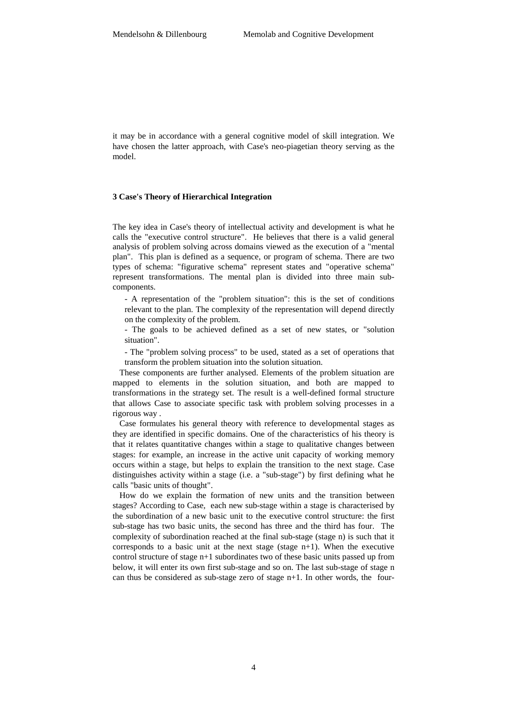it may be in accordance with a general cognitive model of skill integration. We have chosen the latter approach, with Case's neo-piagetian theory serving as the model.

#### **3 Case's Theory of Hierarchical Integration**

The key idea in Case's theory of intellectual activity and development is what he calls the "executive control structure". He believes that there is a valid general analysis of problem solving across domains viewed as the execution of a "mental plan". This plan is defined as a sequence, or program of schema. There are two types of schema: "figurative schema" represent states and "operative schema" represent transformations. The mental plan is divided into three main subcomponents.

- A representation of the "problem situation": this is the set of conditions relevant to the plan. The complexity of the representation will depend directly on the complexity of the problem.

- The goals to be achieved defined as a set of new states, or "solution situation".

- The "problem solving process" to be used, stated as a set of operations that transform the problem situation into the solution situation.

These components are further analysed. Elements of the problem situation are mapped to elements in the solution situation, and both are mapped to transformations in the strategy set. The result is a well-defined formal structure that allows Case to associate specific task with problem solving processes in a rigorous way .

Case formulates his general theory with reference to developmental stages as they are identified in specific domains. One of the characteristics of his theory is that it relates quantitative changes within a stage to qualitative changes between stages: for example, an increase in the active unit capacity of working memory occurs within a stage, but helps to explain the transition to the next stage. Case distinguishes activity within a stage (i.e. a "sub-stage") by first defining what he calls "basic units of thought".

How do we explain the formation of new units and the transition between stages? According to Case, each new sub-stage within a stage is characterised by the subordination of a new basic unit to the executive control structure: the first sub-stage has two basic units, the second has three and the third has four. The complexity of subordination reached at the final sub-stage (stage n) is such that it corresponds to a basic unit at the next stage (stage  $n+1$ ). When the executive control structure of stage n+1 subordinates two of these basic units passed up from below, it will enter its own first sub-stage and so on. The last sub-stage of stage n can thus be considered as sub-stage zero of stage  $n+1$ . In other words, the four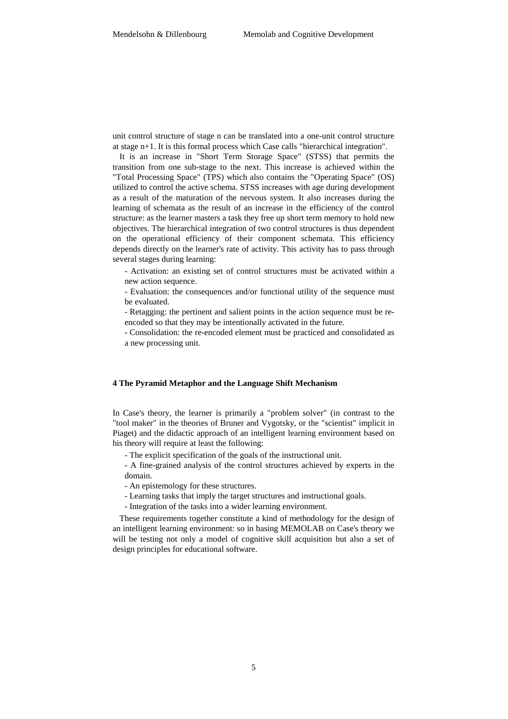unit control structure of stage n can be translated into a one-unit control structure at stage n+1. It is this formal process which Case calls "hierarchical integration".

It is an increase in "Short Term Storage Space" (STSS) that permits the transition from one sub-stage to the next. This increase is achieved within the "Total Processing Space" (TPS) which also contains the "Operating Space" (OS) utilized to control the active schema. STSS increases with age during development as a result of the maturation of the nervous system. It also increases during the learning of schemata as the result of an increase in the efficiency of the control structure: as the learner masters a task they free up short term memory to hold new objectives. The hierarchical integration of two control structures is thus dependent on the operational efficiency of their component schemata. This efficiency depends directly on the learner's rate of activity. This activity has to pass through several stages during learning:

- Activation: an existing set of control structures must be activated within a new action sequence.

- Evaluation: the consequences and/or functional utility of the sequence must be evaluated.

- Retagging: the pertinent and salient points in the action sequence must be reencoded so that they may be intentionally activated in the future.

- Consolidation: the re-encoded element must be practiced and consolidated as a new processing unit.

## **4 The Pyramid Metaphor and the Language Shift Mechanism**

In Case's theory, the learner is primarily a "problem solver" (in contrast to the "tool maker" in the theories of Bruner and Vygotsky, or the "scientist" implicit in Piaget) and the didactic approach of an intelligent learning environment based on his theory will require at least the following:

- The explicit specification of the goals of the instructional unit.

- A fine-grained analysis of the control structures achieved by experts in the domain.

- An epistemology for these structures.
- Learning tasks that imply the target structures and instructional goals.
- Integration of the tasks into a wider learning environment.

These requirements together constitute a kind of methodology for the design of an intelligent learning environment: so in basing MEMOLAB on Case's theory we will be testing not only a model of cognitive skill acquisition but also a set of design principles for educational software.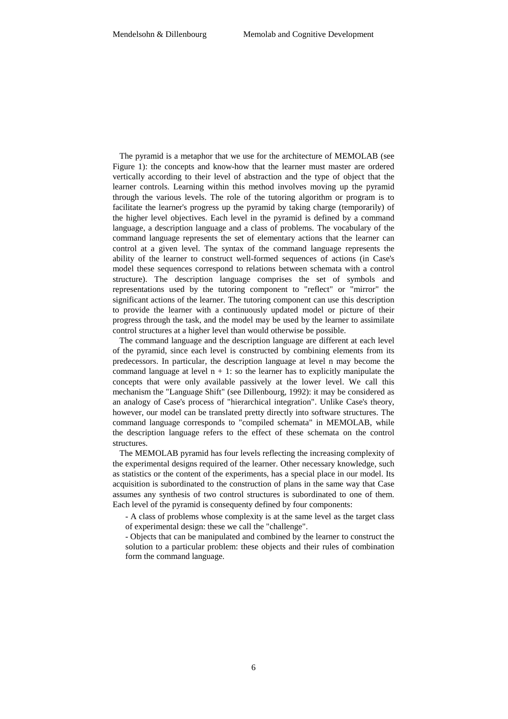The pyramid is a metaphor that we use for the architecture of MEMOLAB (see Figure 1): the concepts and know-how that the learner must master are ordered vertically according to their level of abstraction and the type of object that the learner controls. Learning within this method involves moving up the pyramid through the various levels. The role of the tutoring algorithm or program is to facilitate the learner's progress up the pyramid by taking charge (temporarily) of the higher level objectives. Each level in the pyramid is defined by a command language, a description language and a class of problems. The vocabulary of the command language represents the set of elementary actions that the learner can control at a given level. The syntax of the command language represents the ability of the learner to construct well-formed sequences of actions (in Case's model these sequences correspond to relations between schemata with a control structure). The description language comprises the set of symbols and representations used by the tutoring component to "reflect" or "mirror" the significant actions of the learner. The tutoring component can use this description to provide the learner with a continuously updated model or picture of their progress through the task, and the model may be used by the learner to assimilate control structures at a higher level than would otherwise be possible.

The command language and the description language are different at each level of the pyramid, since each level is constructed by combining elements from its predecessors. In particular, the description language at level n may become the command language at level  $n + 1$ : so the learner has to explicitly manipulate the concepts that were only available passively at the lower level. We call this mechanism the "Language Shift" (see Dillenbourg, 1992): it may be considered as an analogy of Case's process of "hierarchical integration". Unlike Case's theory, however, our model can be translated pretty directly into software structures. The command language corresponds to "compiled schemata" in MEMOLAB, while the description language refers to the effect of these schemata on the control structures.

The MEMOLAB pyramid has four levels reflecting the increasing complexity of the experimental designs required of the learner. Other necessary knowledge, such as statistics or the content of the experiments, has a special place in our model. Its acquisition is subordinated to the construction of plans in the same way that Case assumes any synthesis of two control structures is subordinated to one of them. Each level of the pyramid is consequenty defined by four components:

- A class of problems whose complexity is at the same level as the target class of experimental design: these we call the "challenge".

- Objects that can be manipulated and combined by the learner to construct the solution to a particular problem: these objects and their rules of combination form the command language.

6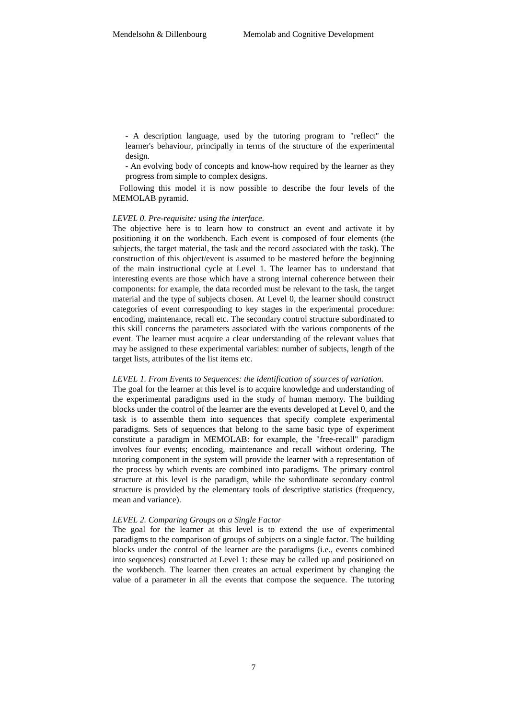- A description language, used by the tutoring program to "reflect" the learner's behaviour, principally in terms of the structure of the experimental design.

- An evolving body of concepts and know-how required by the learner as they progress from simple to complex designs.

Following this model it is now possible to describe the four levels of the MEMOLAB pyramid.

## *LEVEL 0. Pre-requisite: using the interface.*

The objective here is to learn how to construct an event and activate it by positioning it on the workbench. Each event is composed of four elements (the subjects, the target material, the task and the record associated with the task). The construction of this object/event is assumed to be mastered before the beginning of the main instructional cycle at Level 1. The learner has to understand that interesting events are those which have a strong internal coherence between their components: for example, the data recorded must be relevant to the task, the target material and the type of subjects chosen. At Level 0, the learner should construct categories of event corresponding to key stages in the experimental procedure: encoding, maintenance, recall etc. The secondary control structure subordinated to this skill concerns the parameters associated with the various components of the event. The learner must acquire a clear understanding of the relevant values that may be assigned to these experimental variables: number of subjects, length of the target lists, attributes of the list items etc.

#### *LEVEL 1. From Events to Sequences: the identification of sources of variation.*

The goal for the learner at this level is to acquire knowledge and understanding of the experimental paradigms used in the study of human memory. The building blocks under the control of the learner are the events developed at Level 0, and the task is to assemble them into sequences that specify complete experimental paradigms. Sets of sequences that belong to the same basic type of experiment constitute a paradigm in MEMOLAB: for example, the "free-recall" paradigm involves four events; encoding, maintenance and recall without ordering. The tutoring component in the system will provide the learner with a representation of the process by which events are combined into paradigms. The primary control structure at this level is the paradigm, while the subordinate secondary control structure is provided by the elementary tools of descriptive statistics (frequency, mean and variance).

#### *LEVEL 2. Comparing Groups on a Single Factor*

The goal for the learner at this level is to extend the use of experimental paradigms to the comparison of groups of subjects on a single factor. The building blocks under the control of the learner are the paradigms (i.e., events combined into sequences) constructed at Level 1: these may be called up and positioned on the workbench. The learner then creates an actual experiment by changing the value of a parameter in all the events that compose the sequence. The tutoring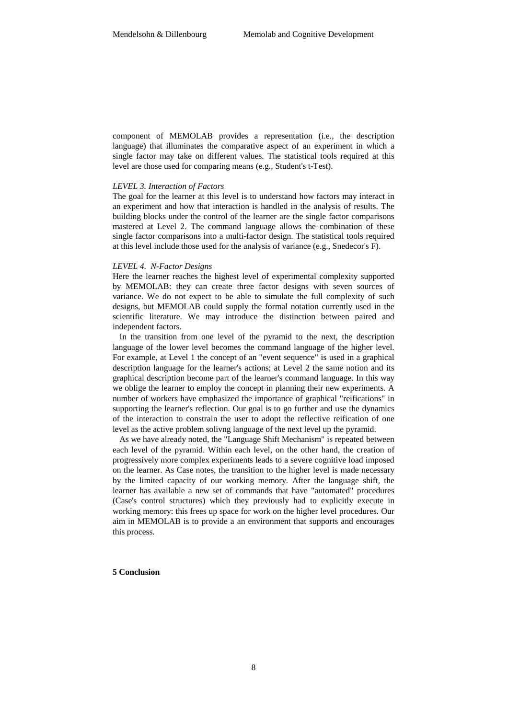component of MEMOLAB provides a representation (i.e., the description language) that illuminates the comparative aspect of an experiment in which a single factor may take on different values. The statistical tools required at this level are those used for comparing means (e.g., Student's t-Test).

#### *LEVEL 3. Interaction of Factors*

The goal for the learner at this level is to understand how factors may interact in an experiment and how that interaction is handled in the analysis of results. The building blocks under the control of the learner are the single factor comparisons mastered at Level 2. The command language allows the combination of these single factor comparisons into a multi-factor design. The statistical tools required at this level include those used for the analysis of variance (e.g., Snedecor's F).

## *LEVEL 4. N-Factor Designs*

Here the learner reaches the highest level of experimental complexity supported by MEMOLAB: they can create three factor designs with seven sources of variance. We do not expect to be able to simulate the full complexity of such designs, but MEMOLAB could supply the formal notation currently used in the scientific literature. We may introduce the distinction between paired and independent factors.

In the transition from one level of the pyramid to the next, the description language of the lower level becomes the command language of the higher level. For example, at Level 1 the concept of an "event sequence" is used in a graphical description language for the learner's actions; at Level 2 the same notion and its graphical description become part of the learner's command language. In this way we oblige the learner to employ the concept in planning their new experiments. A number of workers have emphasized the importance of graphical "reifications" in supporting the learner's reflection. Our goal is to go further and use the dynamics of the interaction to constrain the user to adopt the reflective reification of one level as the active problem solivng language of the next level up the pyramid.

As we have already noted, the "Language Shift Mechanism" is repeated between each level of the pyramid. Within each level, on the other hand, the creation of progressively more complex experiments leads to a severe cognitive load imposed on the learner. As Case notes, the transition to the higher level is made necessary by the limited capacity of our working memory. After the language shift, the learner has available a new set of commands that have "automated" procedures (Case's control structures) which they previously had to explicitly execute in working memory: this frees up space for work on the higher level procedures. Our aim in MEMOLAB is to provide a an environment that supports and encourages this process.

#### **5 Conclusion**